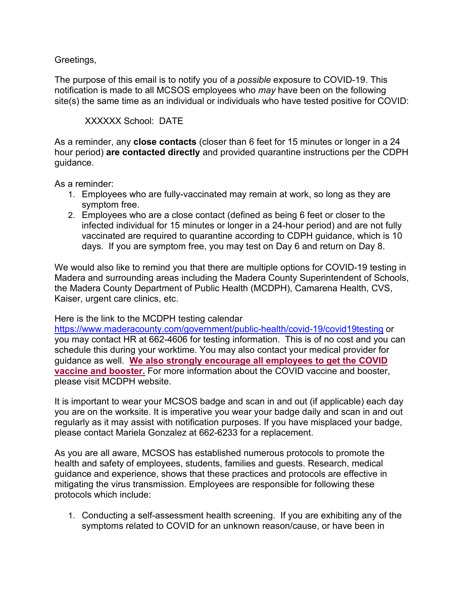## Greetings,

The purpose of this email is to notify you of a *possible* exposure to COVID-19. This notification is made to all MCSOS employees who *may* have been on the following site(s) the same time as an individual or individuals who have tested positive for COVID:

## XXXXXX School: DATE

As a reminder, any **close contacts** (closer than 6 feet for 15 minutes or longer in a 24 hour period) **are contacted directly** and provided quarantine instructions per the CDPH guidance.

As a reminder:

- 1. Employees who are fully-vaccinated may remain at work, so long as they are symptom free.
- 2. Employees who are a close contact (defined as being 6 feet or closer to the infected individual for 15 minutes or longer in a 24-hour period) and are not fully vaccinated are required to quarantine according to CDPH guidance, which is 10 days. If you are symptom free, you may test on Day 6 and return on Day 8.

We would also like to remind you that there are multiple options for COVID-19 testing in Madera and surrounding areas including the Madera County Superintendent of Schools, the Madera County Department of Public Health (MCDPH), Camarena Health, CVS, Kaiser, urgent care clinics, etc.

Here is the link to the MCDPH testing calendar

<https://www.maderacounty.com/government/public-health/covid-19/covid19testing> or you may contact HR at 662-4606 for testing information. This is of no cost and you can schedule this during your worktime. You may also contact your medical provider for guidance as well. **We also strongly encourage all employees to get the COVID vaccine and booster.** For more information about the COVID vaccine and booster, please visit MCDPH website.

It is important to wear your MCSOS badge and scan in and out (if applicable) each day you are on the worksite. It is imperative you wear your badge daily and scan in and out regularly as it may assist with notification purposes. If you have misplaced your badge, please contact Mariela Gonzalez at 662-6233 for a replacement.

As you are all aware, MCSOS has established numerous protocols to promote the health and safety of employees, students, families and guests. Research, medical guidance and experience, shows that these practices and protocols are effective in mitigating the virus transmission. Employees are responsible for following these protocols which include:

1. Conducting a self-assessment health screening. If you are exhibiting any of the symptoms related to COVID for an unknown reason/cause, or have been in